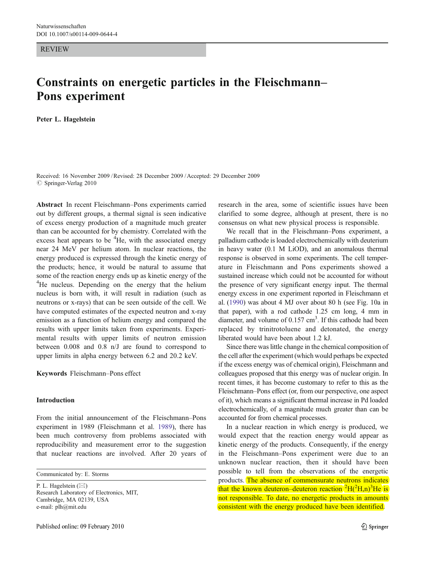<span id="page-0-0"></span>REVIEW

# Constraints on energetic particles in the Fleischmann*–* Pons experiment

Peter L. Hagelstein

Received: 16 November 2009 /Revised: 28 December 2009 /Accepted: 29 December 2009  $\oslash$  Springer-Verlag 2010

Abstract In recent Fleischmann–Pons experiments carried out by different groups, a thermal signal is seen indicative of excess energy production of a magnitude much greater than can be accounted for by chemistry. Correlated with the excess heat appears to be <sup>4</sup>He, with the associated energy near 24 MeV per helium atom. In nuclear reactions, the energy produced is expressed through the kinetic energy of the products; hence, it would be natural to assume that some of the reaction energy ends up as kinetic energy of the <sup>4</sup>He nucleus. Depending on the energy that the helium nucleus is born with, it will result in radiation (such as neutrons or x-rays) that can be seen outside of the cell. We have computed estimates of the expected neutron and x-ray emission as a function of helium energy and compared the results with upper limits taken from experiments. Experimental results with upper limits of neutron emission between 0.008 and 0.8 n/J are found to correspond to upper limits in alpha energy between 6.2 and 20.2 keV.

Keywords Fleischmann–Pons effect

## Introduction

From the initial announcement of the Fleischmann–Pons experiment in 1989 (Fleischmann et al. [1989](#page-6-0)), there has been much controversy from problems associated with reproducibility and measurement error to the suggestion that nuclear reactions are involved. After 20 years of

Communicated by: E. Storms

P. L. Hagelstein (*\**) Research Laboratory of Electronics, MIT, Cambridge, MA 02139, USA e-mail: plh@mit.edu

research in the area, some of scientific issues have been clarified to some degree, although at present, there is no consensus on what new physical process is responsible.

We recall that in the Fleischmann–Pons experiment, a palladium cathode is loaded electrochemically with deuterium in heavy water (0.1 M LiOD), and an anomalous thermal response is observed in some experiments. The cell temperature in Fleischmann and Pons experiments showed a sustained increase which could not be accounted for without the presence of very significant energy input. The thermal energy excess in one experiment reported in Fleischmann et al. [\(1990\)](#page-6-0) was about 4 MJ over about 80 h (see Fig. 10a in that paper), with a rod cathode 1.25 cm long, 4 mm in diameter, and volume of  $0.157 \text{ cm}^3$ . If this cathode had been replaced by trinitrotoluene and detonated, the energy liberated would have been about 1.2 kJ.

Since there was little change in the chemical composition of the cell after the experiment (which would perhaps be expected if the excess energy was of chemical origin), Fleischmann and colleagues proposed that this energy was of nuclear origin. In recent times, it has become customary to refer to this as the Fleischmann–Pons effect (or, from our perspective, one aspect of it), which means a significant thermal increase in Pd loaded electrochemically, of a magnitude much greater than can be accounted for from chemical processes.

In a nuclear reaction in which energy is produced, we would expect that the reaction energy would appear as kinetic energy of the products. Consequently, if the energy in the Fleischmann–Pons experiment were due to an unknown nuclear reaction, then it should have been possible to tell from the observations of the energetic products. The absence of commensurate neutrons indicates that the known deuteron-deuteron reaction  ${}^{2}H({}^{2}H,n){}^{3}He$  is not responsible. To date, no energetic products in amounts consistent with the energy produced have been identified.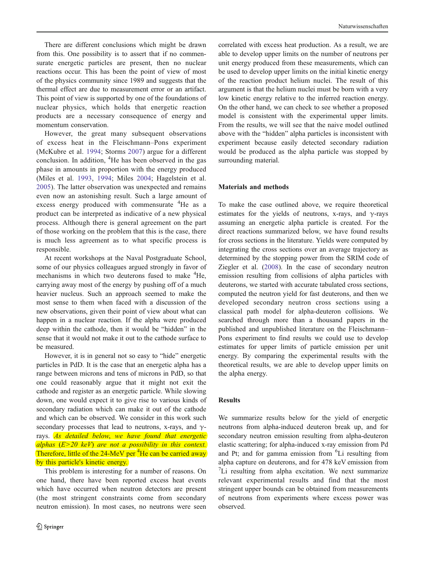There are different conclusions which might be drawn from this. One possibility is to assert that if no commensurate energetic particles are present, then no nuclear reactions occur. This has been the point of view of most of the physics community since 1989 and suggests that the thermal effect are due to measurement error or an artifact. This point of view is supported by one of the foundations of nuclear physics, which holds that energetic reaction products are a necessary consequence of energy and momentum conservation.

However, the great many subsequent observations of excess heat in the Fleischmann–Pons experiment (McKubre et al. [1994;](#page-6-0) Storms [2007\)](#page-7-0) argue for a different conclusion. In addition, <sup>4</sup>He has been observed in the gas phase in amounts in proportion with the energy produced (Miles et al. [1993,](#page-6-0) [1994;](#page-6-0) Miles [2004](#page-6-0); Hagelstein et al. [2005](#page-6-0)). The latter observation was unexpected and remains even now an astonishing result. Such a large amount of excess energy produced with commensurate <sup>4</sup>He as a product can be interpreted as indicative of a new physical process. Although there is general agreement on the part of those working on the problem that this is the case, there is much less agreement as to what specific process is responsible.

At recent workshops at the Naval Postgraduate School, some of our physics colleagues argued strongly in favor of mechanisms in which two deuterons fused to make <sup>4</sup>He, carrying away most of the energy by pushing off of a much heavier nucleus. Such an approach seemed to make the most sense to them when faced with a discussion of the new observations, given their point of view about what can happen in a nuclear reaction. If the alpha were produced deep within the cathode, then it would be "hidden" in the sense that it would not make it out to the cathode surface to be measured.

However, it is in general not so easy to "hide" energetic particles in PdD. It is the case that an energetic alpha has a range between microns and tens of microns in PdD, so that one could reasonably argue that it might not exit the cathode and register as an energetic particle. While slowing down, one would expect it to give rise to various kinds of secondary radiation which can make it out of the cathode and which can be observed. We consider in this work such secondary processes that lead to neutrons, x-rays, and γrays. As detailed below, we have found that energetic alphas (E>20 keV) are not a possibility in this context. Therefore, little of the 24-MeV per <sup>4</sup>He can be carried away by this particle's kinetic energy.

This problem is interesting for a number of reasons. On one hand, there have been reported excess heat events which have occurred when neutron detectors are present (the most stringent constraints come from secondary neutron emission). In most cases, no neutrons were seen correlated with excess heat production. As a result, we are able to develop upper limits on the number of neutrons per unit energy produced from these measurements, which can be used to develop upper limits on the initial kinetic energy of the reaction product helium nuclei. The result of this argument is that the helium nuclei must be born with a very low kinetic energy relative to the inferred reaction energy. On the other hand, we can check to see whether a proposed model is consistent with the experimental upper limits. From the results, we will see that the naive model outlined above with the "hidden" alpha particles is inconsistent with experiment because easily detected secondary radiation would be produced as the alpha particle was stopped by surrounding material.

# Materials and methods

To make the case outlined above, we require theoretical estimates for the yields of neutrons, x-rays, and  $\gamma$ -rays assuming an energetic alpha particle is created. For the direct reactions summarized below, we have found results for cross sections in the literature. Yields were computed by integrating the cross sections over an average trajectory as determined by the stopping power from the SRIM code of Ziegler et al. [\(2008](#page-7-0)). In the case of secondary neutron emission resulting from collisions of alpha particles with deuterons, we started with accurate tabulated cross sections, computed the neutron yield for fast deuterons, and then we developed secondary neutron cross sections using a classical path model for alpha-deuteron collisions. We searched through more than a thousand papers in the published and unpublished literature on the Fleischmann– Pons experiment to find results we could use to develop estimates for upper limits of particle emission per unit energy. By comparing the experimental results with the theoretical results, we are able to develop upper limits on the alpha energy.

# Results

We summarize results below for the yield of energetic neutrons from alpha-induced deuteron break up, and for secondary neutron emission resulting from alpha-deuteron elastic scattering; for alpha-induced x-ray emission from Pd and Pt; and for gamma emission from <sup>6</sup>Li resulting from alpha capture on deuterons, and for 478 keV emission from  ${}^{7}$ Li resulting from alpha excitation. We next summarize relevant experimental results and find that the most stringent upper bounds can be obtained from measurements of neutrons from experiments where excess power was observed.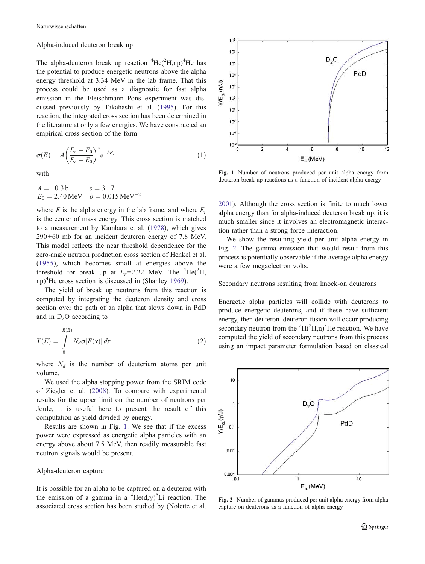#### Alpha-induced deuteron break up

The alpha-deuteron break up reaction  ${}^{4}$ He( ${}^{2}$ H,np)<sup>4</sup>He has the potential to produce energetic neutrons above the alpha energy threshold at 3.34 MeV in the lab frame. That this process could be used as a diagnostic for fast alpha emission in the Fleischmann–Pons experiment was discussed previously by Takahashi et al. ([1995\)](#page-7-0). For this reaction, the integrated cross section has been determined in the literature at only a few energies. We have constructed an empirical cross section of the form

$$
\sigma(E) = A \left( \frac{E_r - E_0}{E_r - E_0} \right)^s e^{-bE_r^2} \tag{1}
$$

with

$$
A = 10.3 \text{ b} \qquad s = 3.17
$$
  

$$
E_0 = 2.40 \text{ MeV} \qquad b = 0.015 \text{ MeV}^{-2}
$$

where  $E$  is the alpha energy in the lab frame, and where  $E_r$ is the center of mass energy. This cross section is matched to a measurement by Kambara et al. [\(1978](#page-6-0)), which gives  $290\pm60$  mb for an incident deuteron energy of 7.8 MeV. This model reflects the near threshold dependence for the zero-angle neutron production cross section of Henkel et al. [\(1955](#page-6-0)), which becomes small at energies above the threshold for break up at  $E_r = 2.22$  MeV. The <sup>4</sup>He(<sup>2</sup>H, np)<sup>4</sup>He cross section is discussed in (Shanley [1969](#page-6-0)).

The yield of break up neutrons from this reaction is computed by integrating the deuteron density and cross section over the path of an alpha that slows down in PdD and in  $D_2O$  according to

$$
Y(E) = \int_{0}^{R(E)} N_d \sigma[E(x)] dx
$$
 (2)

where  $N_d$  is the number of deuterium atoms per unit volume.

We used the alpha stopping power from the SRIM code of Ziegler et al. ([2008\)](#page-7-0). To compare with experimental results for the upper limit on the number of neutrons per Joule, it is useful here to present the result of this computation as yield divided by energy.

Results are shown in Fig. 1. We see that if the excess power were expressed as energetic alpha particles with an energy above about 7.5 MeV, then readily measurable fast neutron signals would be present.

#### Alpha-deuteron capture

It is possible for an alpha to be captured on a deuteron with the emission of a gamma in a <sup>4</sup>He(d, $\gamma$ )<sup>6</sup>Li reaction. The associated cross section has been studied by (Nolette et al.



Fig. 1 Number of neutrons produced per unit alpha energy from deuteron break up reactions as a function of incident alpha energy

[2001](#page-6-0)). Although the cross section is finite to much lower alpha energy than for alpha-induced deuteron break up, it is much smaller since it involves an electromagnetic interaction rather than a strong force interaction.

We show the resulting yield per unit alpha energy in Fig. 2. The gamma emission that would result from this process is potentially observable if the average alpha energy were a few megaelectron volts.

Secondary neutrons resulting from knock-on deuterons

Energetic alpha particles will collide with deuterons to produce energetic deuterons, and if these have sufficient energy, then deuteron–deuteron fusion will occur producing secondary neutron from the <sup>2</sup>H(<sup>2</sup>H,n)<sup>3</sup>He reaction. We have computed the yield of secondary neutrons from this process using an impact parameter formulation based on classical



Fig. 2 Number of gammas produced per unit alpha energy from alpha capture on deuterons as a function of alpha energy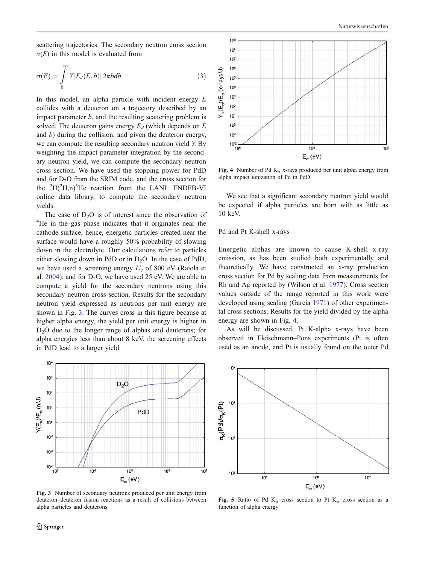<span id="page-3-0"></span>scattering trajectories. The secondary neutron cross section  $\sigma(E)$  in this model is evaluated from

$$
\sigma(E) = \int_{0}^{\infty} Y[E_d(E, b)] 2\pi b db \tag{3}
$$

In this model, an alpha particle with incident energy  $E$ collides with a deuteron on a trajectory described by an impact parameter  $b$ , and the resulting scattering problem is solved. The deuteron gains energy  $E_d$  (which depends on E and b) during the collision, and given the deuteron energy, we can compute the resulting secondary neutron yield Y. By weighting the impact parameter integration by the secondary neutron yield, we can compute the secondary neutron cross section. We have used the stopping power for PdD and for  $D_2O$  from the SRIM code, and the cross section for the  ${}^{2}H(^{2}H,n){}^{3}He$  reaction from the LANL ENDFB-VI online data library, to compute the secondary neutron yields.

The case of  $D_2O$  is of interest since the observation of <sup>4</sup>He in the gas phase indicates that it originates near the cathode surface; hence, energetic particles created near the surface would have a roughly 50% probability of slowing down in the electrolyte. Our calculations refer to particles either slowing down in PdD or in  $D_2O$ . In the case of PdD, we have used a screening energy  $U_e$  of 800 eV (Raiola et al. [2004](#page-6-0)); and for  $D_2O$ , we have used 25 eV. We are able to compute a yield for the secondary neutrons using this secondary neutron cross section. Results for the secondary neutron yield expressed as neutrons per unit energy are shown in Fig. 3. The curves cross in this figure because at higher alpha energy, the yield per unit energy is higher in D<sub>2</sub>O due to the longer range of alphas and deuterons; for alpha energies less than about 8 keV, the screening effects in PdD lead to a larger yield.



Fig. 3 Number of secondary neutrons produced per unit energy from deuteron–deuteron fusion reactions as a result of collisions between alpha particles and deuterons



Fig. 4 Number of Pd  $K_{\alpha}$  x-rays produced per unit alpha energy from alpha impact ionization of Pd in PdD

We see that a significant secondary neutron yield would be expected if alpha particles are born with as little as 10 keV.

#### Pd and Pt K-shell x-rays

Energetic alphas are known to cause K-shell x-ray emission, as has been studied both experimentally and theoretically. We have constructed an x-ray production cross section for Pd by scaling data from measurements for Rh and Ag reported by (Wilson et al. [1977](#page-7-0)). Cross section values outside of the range reported in this work were developed using scaling (Garcia [1971](#page-6-0)) of other experimental cross sections. Results for the yield divided by the alpha energy are shown in Fig. 4.

As will be discussed, Pt K-alpha x-rays have been observed in Fleischmann–Pons experiments (Pt is often used as an anode, and Pt is usually found on the outer Pd



Fig. 5 Ratio of Pd  $K_{\alpha}$  cross section to Pt  $K_{\alpha}$  cross section as a function of alpha energy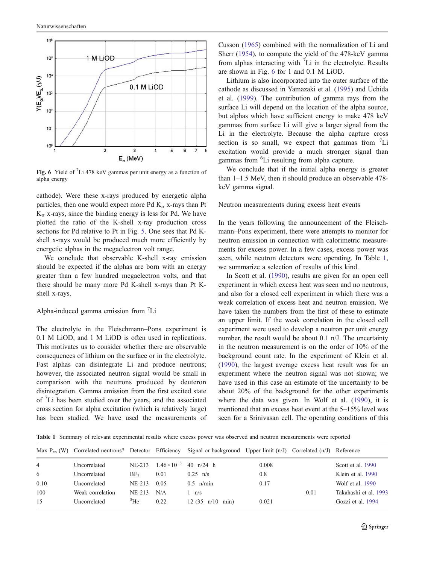<span id="page-4-0"></span>

Fig. 6 Yield of  ${}^{7}Li$  478 keV gammas per unit energy as a function of alpha energy

cathode). Were these x-rays produced by energetic alpha particles, then one would expect more Pd  $K_\alpha$  x-rays than Pt  $K_{\alpha}$  x-rays, since the binding energy is less for Pd. We have plotted the ratio of the K-shell x-ray production cross sections for Pd relative to Pt in Fig. [5.](#page-3-0) One sees that Pd Kshell x-rays would be produced much more efficiently by energetic alphas in the megaelectron volt range.

We conclude that observable K-shell x-ray emission should be expected if the alphas are born with an energy greater than a few hundred megaelectron volts, and that there should be many more Pd K-shell x-rays than Pt Kshell x-rays.

# Alpha-induced gamma emission from <sup>7</sup> Li

The electrolyte in the Fleischmann–Pons experiment is 0.1 M LiOD, and 1 M LiOD is often used in replications. This motivates us to consider whether there are observable consequences of lithium on the surface or in the electrolyte. Fast alphas can disintegrate Li and produce neutrons; however, the associated neutron signal would be small in comparison with the neutrons produced by deuteron disintegration. Gamma emission from the first excited state of <sup>7</sup>Li has been studied over the years, and the associated cross section for alpha excitation (which is relatively large) has been studied. We have used the measurements of

Cusson [\(1965](#page-6-0)) combined with the normalization of Li and Sherr [\(1954\)](#page-6-0), to compute the yield of the 478-keV gamma from alphas interacting with  ${}^{7}Li$  in the electrolyte. Results are shown in Fig. 6 for 1 and 0.1 M LiOD.

Lithium is also incorporated into the outer surface of the cathode as discussed in Yamazaki et al. ([1995\)](#page-7-0) and Uchida et al. ([1999\)](#page-7-0). The contribution of gamma rays from the surface Li will depend on the location of the alpha source, but alphas which have sufficient energy to make 478 keV gammas from surface Li will give a larger signal from the Li in the electrolyte. Because the alpha capture cross section is so small, we expect that gammas from  ${}^{7}$ Li excitation would provide a much stronger signal than gammas from <sup>6</sup> Li resulting from alpha capture.

We conclude that if the initial alpha energy is greater than 1–1.5 MeV, then it should produce an observable 478 keV gamma signal.

Neutron measurements during excess heat events

In the years following the announcement of the Fleischmann–Pons experiment, there were attempts to monitor for neutron emission in connection with calorimetric measurements for excess power. In a few cases, excess power was seen, while neutron detectors were operating. In Table 1, we summarize a selection of results of this kind.

In Scott et al. ([1990\)](#page-6-0), results are given for an open cell experiment in which excess heat was seen and no neutrons, and also for a closed cell experiment in which there was a weak correlation of excess heat and neutron emission. We have taken the numbers from the first of these to estimate an upper limit. If the weak correlation in the closed cell experiment were used to develop a neutron per unit energy number, the result would be about 0.1 n/J. The uncertainty in the neutron measurement is on the order of 10% of the background count rate. In the experiment of Klein et al. [\(1990](#page-6-0)), the largest average excess heat result was for an experiment where the neutron signal was not shown; we have used in this case an estimate of the uncertainty to be about 20% of the background for the other experiments where the data was given. In Wolf et al. ([1990\)](#page-7-0), it is mentioned that an excess heat event at the 5–15% level was seen for a Srinivasan cell. The operating conditions of this

Table 1 Summary of relevant experimental results where excess power was observed and neutron measurements were reported

|                |                  |                 |      | Max $P_{ys}$ (W) Correlated neutrons? Detector Efficiency Signal or background Upper limit (n/J) Correlated (n/J) Reference |       |      |                       |
|----------------|------------------|-----------------|------|-----------------------------------------------------------------------------------------------------------------------------|-------|------|-----------------------|
| $\overline{4}$ | Uncorrelated     |                 |      | NE-213 $1.46 \times 10^{-3}$ 40 n/24 h                                                                                      | 0.008 |      | Scott et al. 1990     |
| 6              | Uncorrelated     | BF <sub>3</sub> | 0.01 | $0.25 \text{ n/s}$                                                                                                          | 0.8   |      | Klein et al. 1990     |
| 0.10           | Uncorrelated     | NE-213          | 0.05 | $0.5$ n/min                                                                                                                 | 0.17  |      | Wolf et al. 1990      |
| 100            | Weak correlation | NE-213          | N/A  | n/s                                                                                                                         |       | 0.01 | Takahashi et al. 1993 |
| 15             | Uncorrelated     | $\rm{^{3}He}$   | 0.22 | $12(35 \text{ n}/10 \text{ min})$                                                                                           | 0.021 |      | Gozzi et al. 1994     |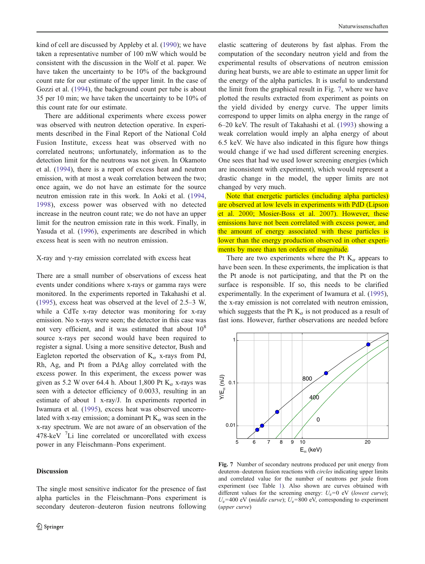kind of cell are discussed by Appleby et al. ([1990\)](#page-6-0); we have taken a representative number of 100 mW which would be consistent with the discussion in the Wolf et al. paper. We have taken the uncertainty to be 10% of the background count rate for our estimate of the upper limit. In the case of Gozzi et al. [\(1994](#page-6-0)), the background count per tube is about 35 per 10 min; we have taken the uncertainty to be 10% of this count rate for our estimate.

There are additional experiments where excess power was observed with neutron detection operative. In experiments described in the Final Report of the National Cold Fusion Institute, excess heat was observed with no correlated neutrons; unfortunately, information as to the detection limit for the neutrons was not given. In Okamoto et al. ([1994\)](#page-6-0), there is a report of excess heat and neutron emission, with at most a weak correlation between the two; once again, we do not have an estimate for the source neutron emission rate in this work. In Aoki et al. ([1994,](#page-6-0) [1998\)](#page-6-0), excess power was observed with no detected increase in the neutron count rate; we do not have an upper limit for the neutron emission rate in this work. Finally, in Yasuda et al. [\(1996](#page-7-0)), experiments are described in which excess heat is seen with no neutron emission.

## X-ray and  $\gamma$ -ray emission correlated with excess heat

There are a small number of observations of excess heat events under conditions where x-rays or gamma rays were monitored. In the experiments reported in Takahashi et al. [\(1995](#page-7-0)), excess heat was observed at the level of 2.5–3 W, while a CdTe x-ray detector was monitoring for x-ray emission. No x-rays were seen; the detector in this case was not very efficient, and it was estimated that about  $10^8$ source x-rays per second would have been required to register a signal. Using a more sensitive detector, Bush and Eagleton reported the observation of  $K_{\alpha}$  x-rays from Pd, Rh, Ag, and Pt from a PdAg alloy correlated with the excess power. In this experiment, the excess power was given as 5.2 W over 64.4 h. About 1,800 Pt  $K_{\alpha}$  x-rays was seen with a detector efficiency of 0.0033, resulting in an estimate of about 1 x-ray/J. In experiments reported in Iwamura et al. [\(1995](#page-6-0)), excess heat was observed uncorrelated with x-ray emission; a dominant Pt  $K_{\alpha}$  was seen in the x-ray spectrum. We are not aware of an observation of the 478-keV <sup>7</sup>Li line correlated or uncorellated with excess power in any Fleischmann–Pons experiment.

# **Discussion**

The single most sensitive indicator for the presence of fast alpha particles in the Fleischmann–Pons experiment is secondary deuteron–deuteron fusion neutrons following

elastic scattering of deuterons by fast alphas. From the computation of the secondary neutron yield and from the experimental results of observations of neutron emission during heat bursts, we are able to estimate an upper limit for the energy of the alpha particles. It is useful to understand the limit from the graphical result in Fig. 7, where we have plotted the results extracted from experiment as points on the yield divided by energy curve. The upper limits correspond to upper limits on alpha energy in the range of 6–20 keV. The result of Takahashi et al. [\(1993](#page-7-0)) showing a weak correlation would imply an alpha energy of about 6.5 keV. We have also indicated in this figure how things would change if we had used different screening energies. One sees that had we used lower screening energies (which are inconsistent with experiment), which would represent a drastic change in the model, the upper limits are not changed by very much.

Note that energetic particles (including alpha particles) are observed at low levels in experiments with PdD (Lipson et al. [2000;](#page-6-0) Mosier-Boss et al. [2007\)](#page-6-0). However, these emissions have not been correlated with excess power, and the amount of energy associated with these particles is lower than the energy production observed in other experiments by more than ten orders of magnitude.

There are two experiments where the Pt  $K_{\alpha}$  appears to have been seen. In these experiments, the implication is that the Pt anode is not participating, and that the Pt on the surface is responsible. If so, this needs to be clarified experimentally. In the experiment of Iwamura et al. ([1995\)](#page-6-0), the x-ray emission is not correlated with neutron emission, which suggests that the Pt  $K_{\alpha}$  is not produced as a result of fast ions. However, further observations are needed before



Fig. 7 Number of secondary neutrons produced per unit energy from deuteron–deuteron fusion reactions with circles indicating upper limits and correlated value for the number of neutrons per joule from experiment (see Table [1](#page-4-0)). Also shown are curves obtained with different values for the screening energy:  $U_e$ =0 eV (lowest curve);  $U_e$ =400 eV (*middle curve*);  $U_e$ =800 eV, corresponding to experiment (upper curve)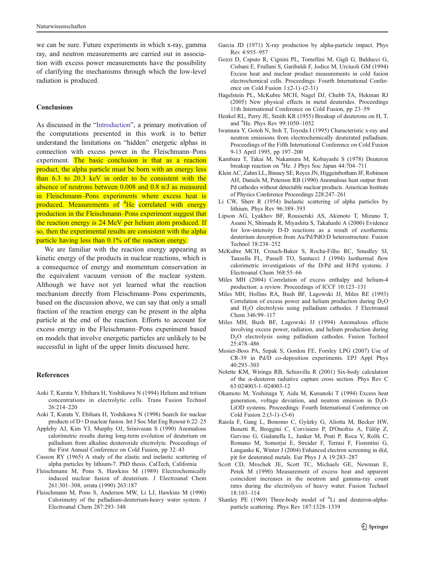<span id="page-6-0"></span>we can be sure. Future experiments in which x-ray, gamma ray, and neutron measurements are carried out in association with excess power measurements have the possibility of clarifying the mechanisms through which the low-level radiation is produced.

# Conclusions

As discussed in the "[Introduction](#page-0-0)", a primary motivation of the computations presented in this work is to better understand the limitations on "hidden" energetic alphas in connection with excess power in the Fleischmann–Pons experiment. The basic conclusion is that as a reaction product, the alpha particle must be born with an energy less than 6.3 to 20.3 keV in order to be consistent with the absence of neutrons between 0.008 and 0.8 n/J as measured in Fleischmann–Pons experiments where excess heat is produced. Measurements of <sup>4</sup>He correlated with energy production in the Fleischmann–Pons experiment suggest that the reaction energy is 24 MeV per helium atom produced. If so, then the experimental results are consistent with the alpha particle having less than 0.1% of the reaction energy.

We are familiar with the reaction energy appearing as kinetic energy of the products in nuclear reactions, which is a consequence of energy and momentum conservation in the equivalent vacuum version of the nuclear system. Although we have not yet learned what the reaction mechanism directly from Fleischmann–Pons experiments, based on the discussion above, we can say that only a small fraction of the reaction energy can be present in the alpha particle at the end of the reaction. Efforts to account for excess energy in the Fleischmann–Pons experiment based on models that involve energetic particles are unlikely to be successful in light of the upper limits discussed here.

#### References

- Aoki T, Kurata Y, Ebihara H, Yoshikawa N (1994) Helium and tritium concentrations in electrolytic cells. Trans Fusion Technol 26:214–220
- Aoki T, Kurata Y, Ebihara H, Yoshikawa N (1998) Search for nuclear products of D+D nuclear fusion. Int J Soc Mat Eng Resour 6:22–25
- Appleby AJ, Kim YJ, Murphy OJ, Srinivasan S (1990) Anomalous calorimetric results during long-term evolution of deuterium on palladium from alkaline deuteroxide electrolyte. Proceedings of the First Annual Conference on Cold Fusion, pp 32–43
- Cusson RY (1965) A study of the elastic and inelastic scattering of alpha particles by lithium-7. PhD thesis. CalTech, California
- Fleischmann M, Pons S, Hawkins M (1989) Electrochemically induced nuclear fusion of deuterium. J Electroanal Chem 261:301–308, errata (1990) 263:187
- Fleischmann M, Pons S, Anderson MW, Li LJ, Hawkins M (1990) Calorimetry of the palladium-deuterium-heavy water system. J Electroanal Chem 287:293–348
- Garcia JD (1971) X-ray production by alpha-particle impact. Phys Rev 4:955–957
- Gozzi D, Caputo R, Cignini PL, Tomellini M, Gigli G, Balducci G, Cisbani E, Frullani S, Garibaldi F, Jodice M, Urciuoli GM (1994) Excess heat and nuclear product measurements in cold fusion electrochemical cells. Proceedings: Fourth International Conference on Cold Fusion 1:(2-1)–(2-31)
- Hagelstein PL, McKubre MCH, Nagel DJ, Chubb TA, Hekman RJ (2005) New physical effects in metal deuterides. Proceedings 11th International Conference on Cold Fusion, pp 23–59
- Henkel RL, Perry JE, Smith KR (1955) Breakup of deuterons on H, T, and <sup>4</sup> He. Phys Rev 99:1050–1052
- Iwamura Y, Gotoh N, Itoh T, Toyoda I (1995) Characteristic x-ray and neutron emissions from electrochemically deuterated palladium. Proceedings of the Fifth International Conference on Cold Fusion 9-13 April 1995, pp 197–200
- Kambara T, Takai M, Nakamura M, Kobayashi S (1978) Deuteron breakup reaction on <sup>4</sup>He. J Phys Soc Japan 44:704-711
- Klein AC, Zahm LL, Binney SE, Reyes JN, Higgeinbotham JF, Robinson AH, Daniels M, Peterson RB (1990) Anomalous heat output from Pd cathodes without detectable nuclear products. American Institute of Physics Conference Proceedings 228:247–261
- Li CW, Sherr R (1954) Inelastic scattering of alpha particles by lithium. Phys Rev 96:389–393
- Lipson AG, Lyakhov BF, Roussetski AS, Akimoto T, Mizuno T, Asami N, Shimada R, Miyashita S, Takahashi A (2000) Evidence for low-intensity D-D reactions as a result of exothermic deuterium desorption from Au/Pd/PdO:D heterostructure. Fusion Technol 38:238–252
- McKubre MCH, Crouch-Baker S, Rocha-Filho RC, Smedley SI, Tanzella FL, Passell TO, Santucci J (1994) Isothermal flow calorimetric investigations of the D/Pd and H/Pd systems. J Electroanal Chem 368:55–66
- Miles MH (2004) Correlation of excess enthalpy and helium-4 production: a review. Proceedings of ICCF 10:123–131
- Miles MH, Hollins RA, Bush BF, Lagowski JJ, Miles RE (1993) Correlation of excess power and helium production during  $D_2O$ and H2O electrolysis using palladium cathodes. J Electroanal Chem 346:99–117
- Miles MH, Bush BF, Lagowski JJ (1994) Anomalous effects involving excess power, radiation, and helium production during D2O electrolysis using palladium cathodes. Fusion Technol 25:478–486
- Mosier-Boss PA, Szpak S, Gordon FE, Forsley LPG (2007) Use of CR-39 in Pd/D co-deposition experiments. EPJ Appl Phys 40:293–303
- Nolette KM, Wiringa RB, Schiavilla R (2001) Six-body calculation of the α-deuteron radiative capture cross section. Phys Rev C 63:024003-1–024003-12
- Okamoto M, Yoshinaga Y, Aida M, Kusunoki T (1994) Excess heat generation, voltage deviation, and neutron emission in  $D_2O$ -LiOD systems. Proceedings: Fourth International Conference on Cold Fusion 2:(3-1)–(3-6)
- Raiola F, Gang L, Bonomo C, Gyürky G, Aliotta M, Becker HW, Bonetti R, Broggini C, Corvisiero P, D'Onofrio A, Fülöp Z, Gervino G, Gialanella L, Junker M, Prati P, Roca V, Rolfs C, Romano M, Somorjai E, Streider F, Terrasi F, Fiorentini G, Langanke K, Winter J (2004) Enhanced electron screening in d(d, p)t for deuterated metals. Eur Phys J A 19:283–287
- Scott CD, Mrochek JE, Scott TC, Michaels GE, Newman E, Petek M (1990) Measurement of excess heat and apparent coincident increases in the neutron and gamma-ray count rates during the electrolysis of heavy water. Fusion Technol 18:103–114
- Shanley PE (1969) Three-body model of <sup>6</sup>Li and deuteron-alphaparticle scattering. Phys Rev 187:1328–1339